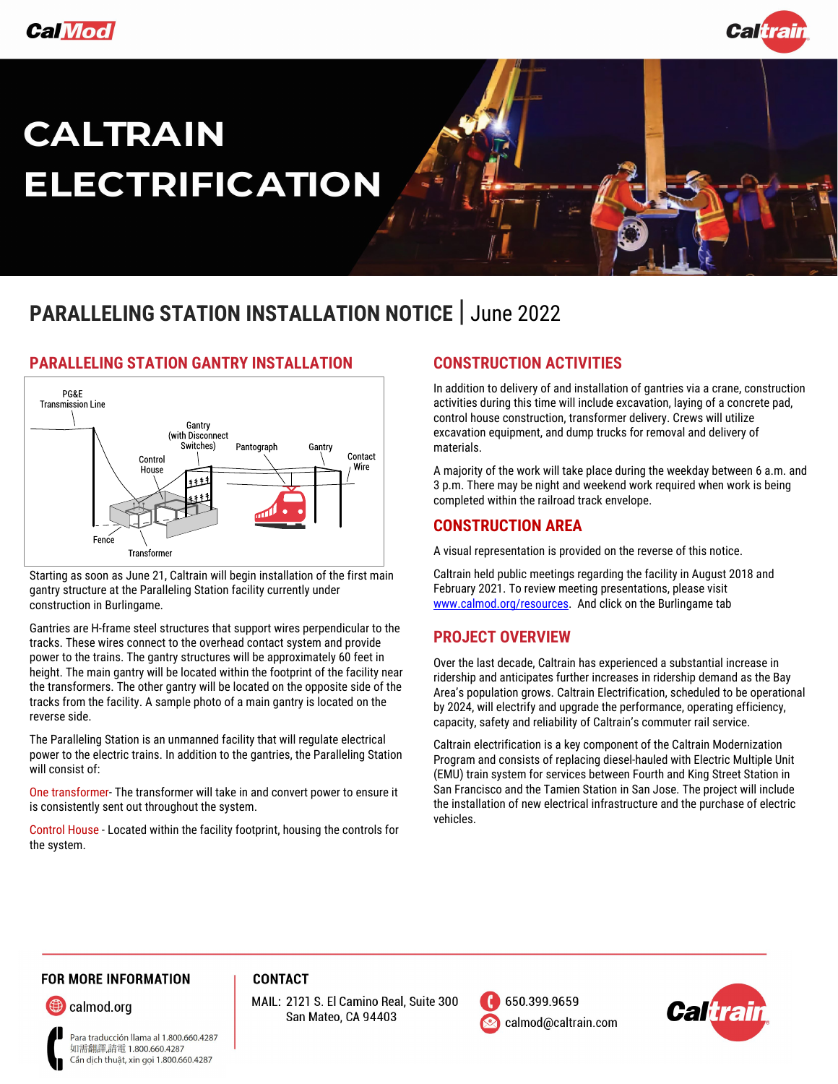



# **CALTRAIN ELECTRIFICATION**

# **PARALLELING STATION INSTALLATION NOTICE** | June 2022



### **PARALLELING STATION GANTRY INSTALLATION**

Starting as soon as June 21, Caltrain will begin installation of the first main gantry structure at the Paralleling Station facility currently under construction in Burlingame.

Gantries are H-frame steel structures that support wires perpendicular to the tracks. These wires connect to the overhead contact system and provide power to the trains. The gantry structures will be approximately 60 feet in height. The main gantry will be located within the footprint of the facility near the transformers. The other gantry will be located on the opposite side of the tracks from the facility. A sample photo of a main gantry is located on the reverse side.

The Paralleling Station is an unmanned facility that will regulate electrical power to the electric trains. In addition to the gantries, the Paralleling Station will consist of:

One transformer- The transformer will take in and convert power to ensure it is consistently sent out throughout the system.

Control House - Located within the facility footprint, housing the controls for the system.

### **CONSTRUCTION ACTIVITIES**

In addition to delivery of and installation of gantries via a crane, construction activities during this time will include excavation, laying of a concrete pad, control house construction, transformer delivery. Crews will utilize excavation equipment, and dump trucks for removal and delivery of materials.

A majority of the work will take place during the weekday between 6 a.m. and 3 p.m. There may be night and weekend work required when work is being completed within the railroad track envelope.

### **CONSTRUCTION AREA**

A visual representation is provided on the reverse of this notice.

Caltrain held public meetings regarding the facility in August 2018 and February 2021. To review meeting presentations, please visit [www.calmod.org/resources.](http://www.calmod.org/resources) And click on the Burlingame tab

### **PROJECT OVERVIEW**

Over the last decade, Caltrain has experienced a substantial increase in ridership and anticipates further increases in ridership demand as the Bay Area's population grows. Caltrain Electrification, scheduled to be operational by 2024, will electrify and upgrade the performance, operating efficiency, capacity, safety and reliability of Caltrain's commuter rail service.

Caltrain electrification is a key component of the Caltrain Modernization Program and consists of replacing diesel-hauled with Electric Multiple Unit (EMU) train system for services between Fourth and King Street Station in San Francisco and the Tamien Station in San Jose. The project will include the installation of new electrical infrastructure and the purchase of electric vehicles.

### **FOR MORE INFORMATION**

calmod.org

Para traducción llama al 1.800.660.4287 如需翻譯,請電 1.800.660.4287 Cần dịch thuật, xin gọi 1.800.660.4287

MAIL: 2121 S. El Camino Real, Suite 300 San Mateo, CA 94403

**CONTACT** 



650.399.9659 calmod@caltrain.com